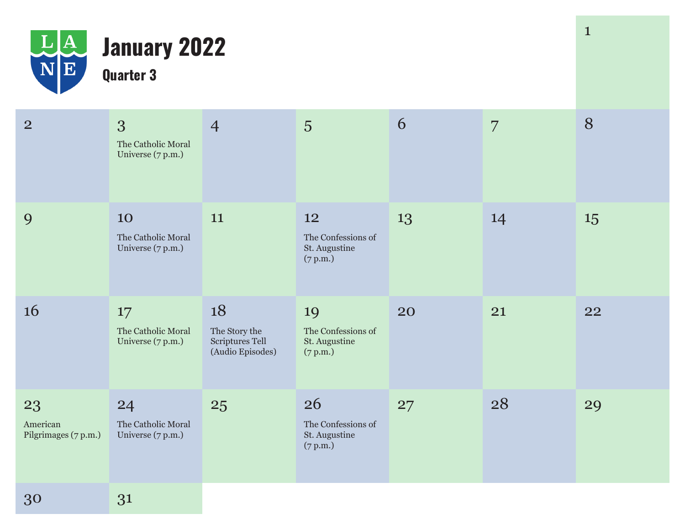

## **January 2022 Quarter 3**

| $\overline{2}$                         | 3<br>The Catholic Moral<br>Universe (7 p.m.)  | $\overline{4}$                                             | 5                                                     | 6  | 7  | 8  |
|----------------------------------------|-----------------------------------------------|------------------------------------------------------------|-------------------------------------------------------|----|----|----|
| 9                                      | 10<br>The Catholic Moral<br>Universe (7 p.m.) | 11                                                         | 12<br>The Confessions of<br>St. Augustine<br>(7 p.m.) | 13 | 14 | 15 |
| 16                                     | 17<br>The Catholic Moral<br>Universe (7 p.m.) | 18<br>The Story the<br>Scriptures Tell<br>(Audio Episodes) | 19<br>The Confessions of<br>St. Augustine<br>(7 p.m.) | 20 | 21 | 22 |
| 23<br>American<br>Pilgrimages (7 p.m.) | 24<br>The Catholic Moral<br>Universe (7 p.m.) | 25                                                         | 26<br>The Confessions of<br>St. Augustine<br>(7 p.m.) | 27 | 28 | 29 |
| 30                                     | 31                                            |                                                            |                                                       |    |    |    |

1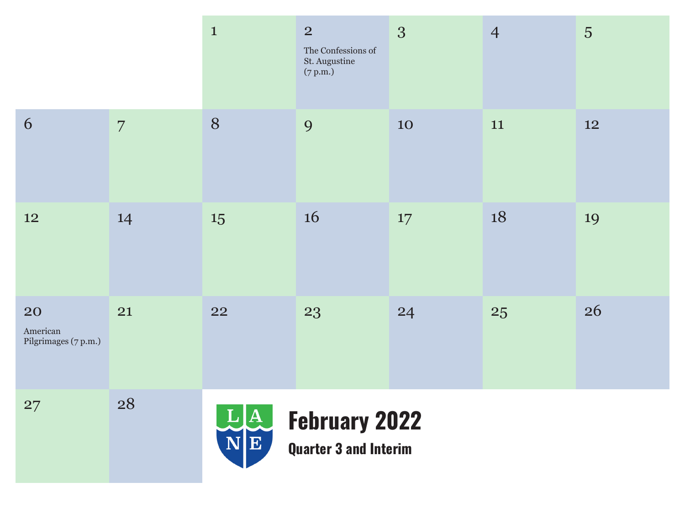|                                        |                | $\mathbf{1}$                           | $\overline{2}$<br>The Confessions of<br>St. Augustine<br>(7 p.m.) | 3  | $\overline{4}$ | $\overline{5}$ |
|----------------------------------------|----------------|----------------------------------------|-------------------------------------------------------------------|----|----------------|----------------|
| 6                                      | $\overline{7}$ | 8                                      | 9                                                                 | 10 | 11             | 12             |
| 12                                     | 14             | 15                                     | 16                                                                | 17 | 18             | 19             |
| 20<br>American<br>Pilgrimages (7 p.m.) | 21             | <b>22</b>                              | 23                                                                | 24 | 25             | 26             |
| 27                                     | 28             | $\mathbf{L} \mathbf{A} $<br>$N \mid E$ | <b>February 2022</b><br><b>Quarter 3 and Interim</b>              |    |                |                |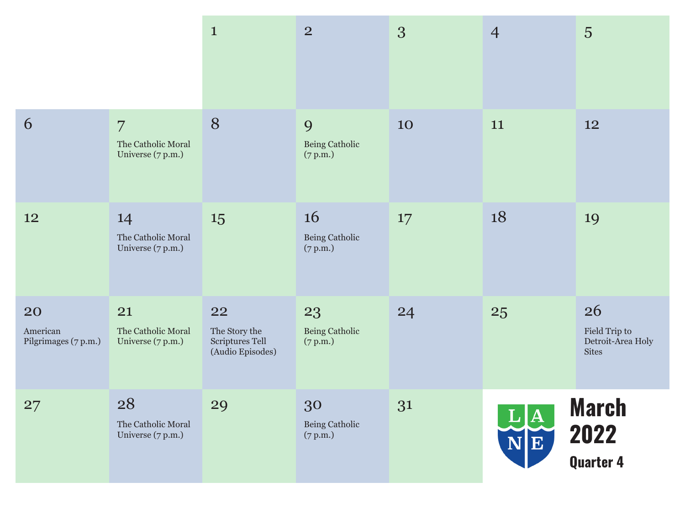|                                        |                                                           | $\mathbf{1}$                                               | $\overline{2}$                          | 3  | $\overline{4}$                       | 5                                                        |
|----------------------------------------|-----------------------------------------------------------|------------------------------------------------------------|-----------------------------------------|----|--------------------------------------|----------------------------------------------------------|
| 6                                      | $\overline{7}$<br>The Catholic Moral<br>Universe (7 p.m.) | 8                                                          | 9<br>Being Catholic<br>(7 p.m.)         | 10 | 11                                   | 12                                                       |
| 12                                     | 14<br>The Catholic Moral<br>Universe (7 p.m.)             | 15                                                         | <b>16</b><br>Being Catholic<br>(7 p.m.) | 17 | 18                                   | 19                                                       |
| 20<br>American<br>Pilgrimages (7 p.m.) | 21<br>The Catholic Moral<br>Universe (7 p.m.)             | 22<br>The Story the<br>Scriptures Tell<br>(Audio Episodes) | 23<br>Being Catholic<br>(7 p.m.)        | 24 | 25                                   | 26<br>Field Trip to<br>Detroit-Area Holy<br><b>Sites</b> |
| 27                                     | 28<br>The Catholic Moral<br>Universe (7 p.m.)             | 29                                                         | 30<br>Being Catholic<br>(7 p.m.)        | 31 | $ \mathbf{A} $<br>$\bf L$<br>$N$ $E$ | <b>March</b><br>2022<br><b>Quarter 4</b>                 |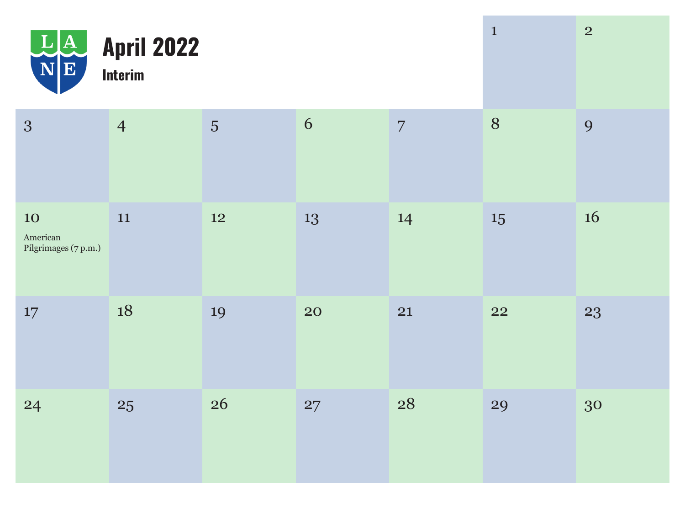| $L\underline{A}$<br>$N \mid E$                | <b>April 2022</b><br><b>Interim</b> |           |           |                | $\mathbf{1}$ | $\overline{2}$ |
|-----------------------------------------------|-------------------------------------|-----------|-----------|----------------|--------------|----------------|
| 3                                             | $\overline{4}$                      | 5         | 6         | $\overline{7}$ | 8            | 9              |
| <b>10</b><br>American<br>Pilgrimages (7 p.m.) | $11\,$                              | <b>12</b> | 13        | 14             | 15           | 16             |
| 17                                            | 18                                  | 19        | <b>20</b> | 21             | <b>22</b>    | 23             |
| 24                                            | 25                                  | 26        | 27        | 28             | 29           | 30             |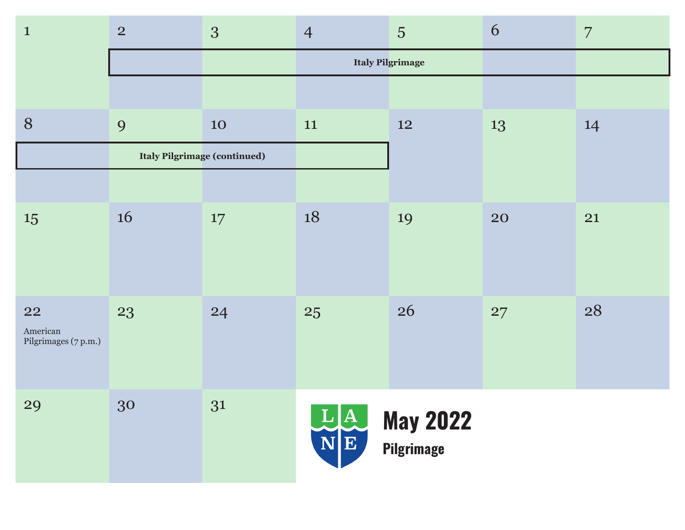| $\mathbf{1}$                           | 2  | 3                                   | $\overline{4}$ | 5                                    | 6  | $\overline{7}$ |
|----------------------------------------|----|-------------------------------------|----------------|--------------------------------------|----|----------------|
|                                        |    |                                     |                | <b>Italy Pilgrimage</b>              |    |                |
|                                        |    |                                     |                |                                      |    |                |
| 8                                      | 9  | 10                                  | 11             | 12                                   | 13 | 14             |
|                                        |    | <b>Italy Pilgrimage (continued)</b> |                |                                      |    |                |
|                                        |    |                                     |                |                                      |    |                |
| 15                                     | 16 | 17                                  | 18             | 19                                   | 20 | 21             |
| 22<br>American<br>Pilgrimages (7 p.m.) | 23 | 24                                  | 25             | 26                                   | 27 | 28             |
| 29                                     | 30 | 31                                  | LA<br>NE       | <b>May 2022</b><br><b>Pilgrimage</b> |    |                |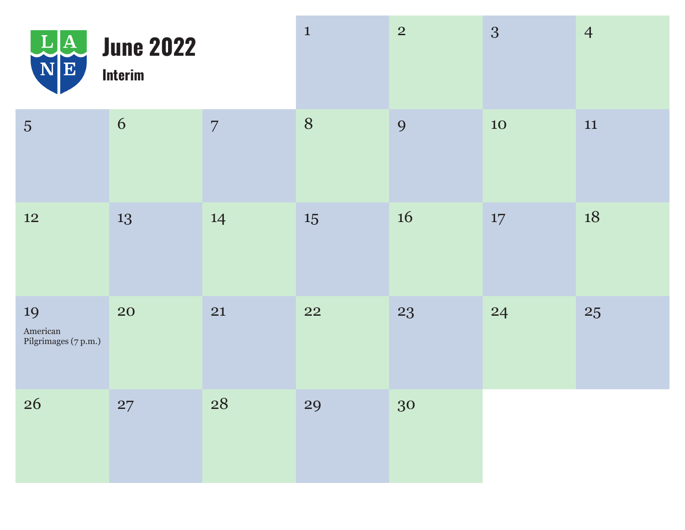| L[A]<br>$\overline{\textbf{N}}\vert \overline{\textbf{E}}$ | <b>June 2022</b><br><b>Interim</b> |                | $\mathbf{1}$ | $\overline{2}$ | 3         | $\overline{4}$ |
|------------------------------------------------------------|------------------------------------|----------------|--------------|----------------|-----------|----------------|
| $\overline{5}$                                             | 6                                  | $\overline{7}$ | 8            | 9              | <b>10</b> | 11             |
| 12                                                         | 13                                 | 14             | 15           | 16             | $17\,$    | 18             |
| 19<br>American<br>Pilgrimages (7 p.m.)                     | 20                                 | 21             | 22           | 23             | 24        | 25             |
| 26                                                         | 27                                 | 28             | 29           | 30             |           |                |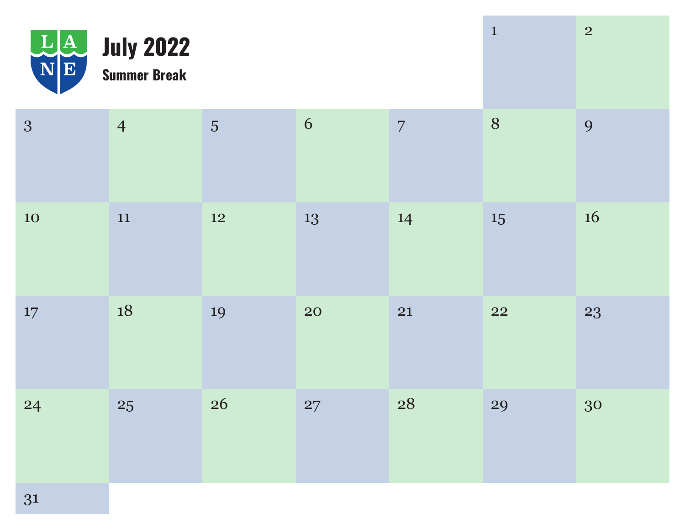|           | <b>LA July 2022</b><br><b>Summer Break</b> |                 |           |                | $\mathbf{1}$ | 2  |
|-----------|--------------------------------------------|-----------------|-----------|----------------|--------------|----|
| 3         | $\overline{4}$                             | $5\overline{)}$ | 6         | $\overline{7}$ | 8            | 9  |
| <b>10</b> | 11                                         | 12              | 13        | 14             | 15           | 16 |
| 17        | 18                                         | 19              | <b>20</b> | 21             | <b>22</b>    | 23 |
| 24        | 25                                         | 26              | 27        | 28             | 29           | 30 |
| 31        |                                            |                 |           |                |              |    |

**The Co**